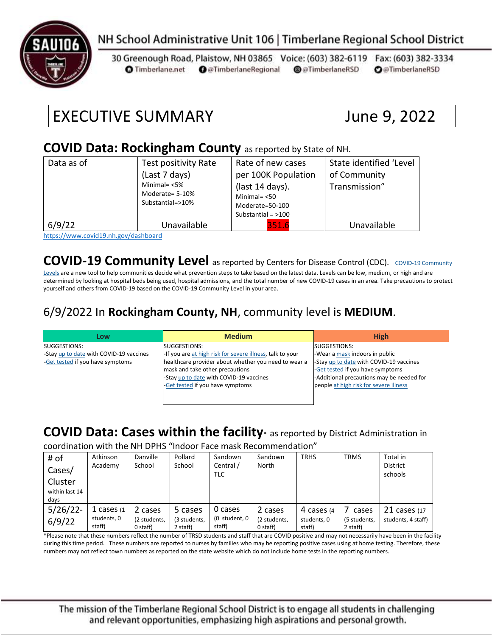

# NH School Administrative Unit 106 | Timberlane Regional School District

30 Greenough Road, Plaistow, NH 03865 Voice: (603) 382-6119 Fax: (603) 382-3334 **O** Timberlane.net **O** @TimberlaneRegional @@TimberlaneRSD **O**@TimberlaneRSD

# EXECUTIVE SUMMARY June 9, 2022

#### **COVID Data: Rockingham County** as reported by State of NH.

| Data as of | Test positivity Rate<br>(Last 7 days)<br>Minimal= $<$ 5%<br>Moderate= 5-10%<br>Substantial=>10% | Rate of new cases<br>per 100K Population<br>(last 14 days).<br>Minimal $=$ <50<br>Moderate=50-100<br>Substantial = $>100$ | State identified 'Level<br>of Community<br>Transmission" |
|------------|-------------------------------------------------------------------------------------------------|---------------------------------------------------------------------------------------------------------------------------|----------------------------------------------------------|
| 6/9/22     | Unavailable                                                                                     | 351.6                                                                                                                     | Unavailable                                              |

<https://www.covid19.nh.gov/dashboard>

### **[COVID-19 Community](https://www.cdc.gov/coronavirus/2019-ncov/science/community-levels.html) Level** as reported by Centers for Disease Control (CDC). COVID-19 Community

[Levels](https://www.cdc.gov/coronavirus/2019-ncov/science/community-levels.html) are a new tool to help communities decide what prevention steps to take based on the latest data. Levels can be low, medium, or high and are determined by looking at hospital beds being used, hospital admissions, and the total number of new COVID-19 cases in an area. Take precautions to protect yourself and others from COVID-19 based on the COVID-19 Community Level in your area.

#### 6/9/2022 In **Rockingham County, NH**, community level is **MEDIUM**.

| Low                                     | <b>Medium</b>                                             | <b>High</b>                               |
|-----------------------------------------|-----------------------------------------------------------|-------------------------------------------|
| SUGGESTIONS:                            | SUGGESTIONS:                                              | SUGGESTIONS:                              |
| -Stay up to date with COVID-19 vaccines | -If you are at high risk for severe illness, talk to your | -Wear a mask indoors in public            |
| -Get tested if you have symptoms        | healthcare provider about whether you need to wear a      | -Stay up to date with COVID-19 vaccines   |
|                                         | mask and take other precautions                           | -Get tested if you have symptoms          |
|                                         | -Stay up to date with COVID-19 vaccines                   | -Additional precautions may be needed for |
|                                         | -Get tested if you have symptoms                          | people at high risk for severe illness    |
|                                         |                                                           |                                           |
|                                         |                                                           |                                           |

# **COVID Data: Cases within the facility\*** as reported by District Administration in

coordination with the NH DPHS "Indoor Face mask Recommendation"

| # of           | Atkinson      | Danville     | Pollard      | Sandown       | Sandown      | <b>TRHS</b> | <b>TRMS</b>  | Total in           |
|----------------|---------------|--------------|--------------|---------------|--------------|-------------|--------------|--------------------|
| Cases/         | Academy       | School       | School       | Central /     | North        |             |              | <b>District</b>    |
|                |               |              |              | TLC           |              |             |              | schools            |
| Cluster        |               |              |              |               |              |             |              |                    |
| within last 14 |               |              |              |               |              |             |              |                    |
| days           |               |              |              |               |              |             |              |                    |
| $5/26/22$ -    | 1 cases $(1)$ | 2 cases      | 5 cases      | 0 cases       | 2 cases      | 4 cases (4  | cases        | $21$ cases $(17)$  |
| 6/9/22         | students, 0   | (2 students, | (3 students, | (0 student, 0 | (2 students, | students. 0 | (5 students, | students, 4 staff) |
|                | staff)        | 0 staff)     | 2 staff)     | staff)        | $0$ staff)   | staff)      | 2 staff)     |                    |

\*Please note that these numbers reflect the number of TRSD students and staff that are COVID positive and may not necessarily have been in the facility during this time period. These numbers are reported to nurses by families who may be reporting positive cases using at home testing. Therefore, these numbers may not reflect town numbers as reported on the state website which do not include home tests in the reporting numbers.

The mission of the Timberlane Regional School District is to engage all students in challenging and relevant opportunities, emphasizing high aspirations and personal growth.